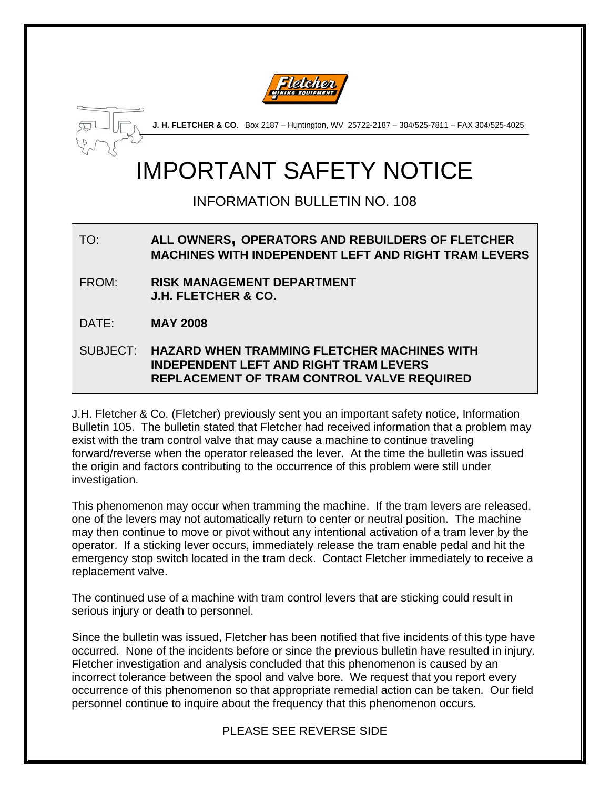



**J. H. FLETCHER & CO**. Box 2187 – Huntington, WV 25722-2187 – 304/525-7811 – FAX 304/525-4025

# IMPORTANT SAFETY NOTICE

INFORMATION BULLETIN NO. 108

## TO: **ALL OWNERS, OPERATORS AND REBUILDERS OF FLETCHER MACHINES WITH INDEPENDENT LEFT AND RIGHT TRAM LEVERS**

- FROM: **RISK MANAGEMENT DEPARTMENT J.H. FLETCHER & CO.**
- DATE: **MAY 2008**

#### SUBJECT: **HAZARD WHEN TRAMMING FLETCHER MACHINES WITH INDEPENDENT LEFT AND RIGHT TRAM LEVERS REPLACEMENT OF TRAM CONTROL VALVE REQUIRED**

J.H. Fletcher & Co. (Fletcher) previously sent you an important safety notice, Information Bulletin 105. The bulletin stated that Fletcher had received information that a problem may exist with the tram control valve that may cause a machine to continue traveling forward/reverse when the operator released the lever. At the time the bulletin was issued the origin and factors contributing to the occurrence of this problem were still under investigation.

This phenomenon may occur when tramming the machine. If the tram levers are released, one of the levers may not automatically return to center or neutral position. The machine may then continue to move or pivot without any intentional activation of a tram lever by the operator. If a sticking lever occurs, immediately release the tram enable pedal and hit the emergency stop switch located in the tram deck. Contact Fletcher immediately to receive a replacement valve.

The continued use of a machine with tram control levers that are sticking could result in serious injury or death to personnel.

Since the bulletin was issued, Fletcher has been notified that five incidents of this type have occurred. None of the incidents before or since the previous bulletin have resulted in injury. Fletcher investigation and analysis concluded that this phenomenon is caused by an incorrect tolerance between the spool and valve bore. We request that you report every occurrence of this phenomenon so that appropriate remedial action can be taken. Our field personnel continue to inquire about the frequency that this phenomenon occurs.

### PLEASE SEE REVERSE SIDE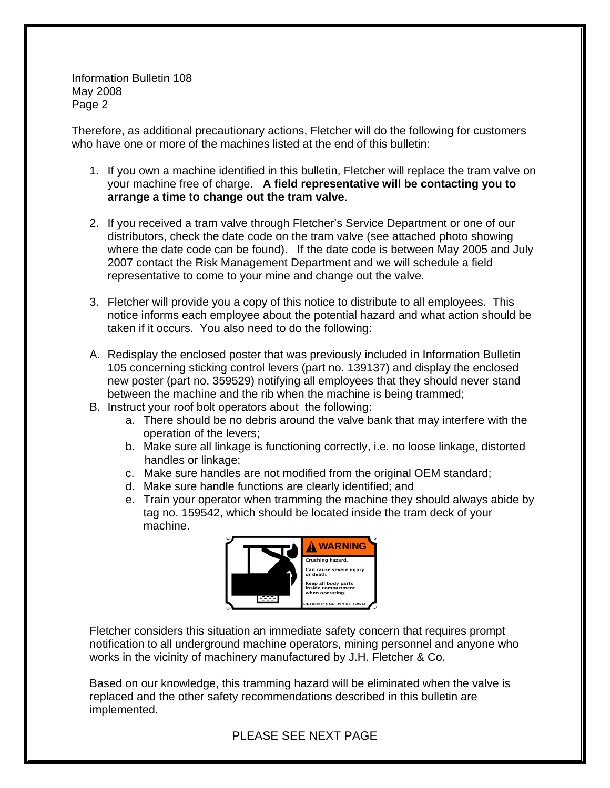Information Bulletin 108 May 2008 Page 2

Therefore, as additional precautionary actions, Fletcher will do the following for customers who have one or more of the machines listed at the end of this bulletin:

- 1. If you own a machine identified in this bulletin, Fletcher will replace the tram valve on your machine free of charge. **A field representative will be contacting you to arrange a time to change out the tram valve**.
- 2. If you received a tram valve through Fletcher's Service Department or one of our distributors, check the date code on the tram valve (see attached photo showing where the date code can be found). If the date code is between May 2005 and July 2007 contact the Risk Management Department and we will schedule a field representative to come to your mine and change out the valve.
- 3. Fletcher will provide you a copy of this notice to distribute to all employees. This notice informs each employee about the potential hazard and what action should be taken if it occurs. You also need to do the following:
- A. Redisplay the enclosed poster that was previously included in Information Bulletin 105 concerning sticking control levers (part no. 139137) and display the enclosed new poster (part no. 359529) notifying all employees that they should never stand between the machine and the rib when the machine is being trammed;
- B. Instruct your roof bolt operators about the following:
	- a. There should be no debris around the valve bank that may interfere with the operation of the levers;
	- b. Make sure all linkage is functioning correctly, i.e. no loose linkage, distorted handles or linkage;
	- c. Make sure handles are not modified from the original OEM standard;
	- d. Make sure handle functions are clearly identified; and
	- e. Train your operator when tramming the machine they should always abide by tag no. 159542, which should be located inside the tram deck of your machine.



Fletcher considers this situation an immediate safety concern that requires prompt notification to all underground machine operators, mining personnel and anyone who works in the vicinity of machinery manufactured by J.H. Fletcher & Co.

Based on our knowledge, this tramming hazard will be eliminated when the valve is replaced and the other safety recommendations described in this bulletin are implemented.

PLEASE SEE NEXT PAGE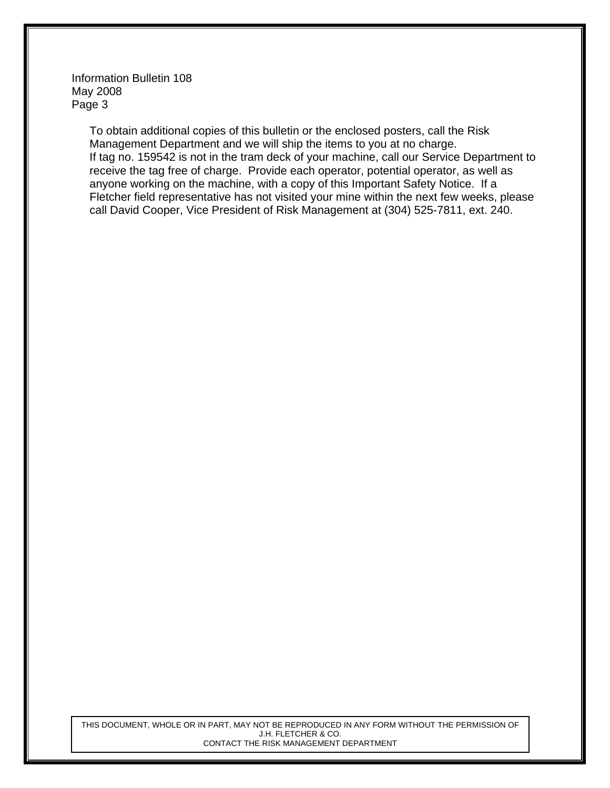Information Bulletin 108 May 2008 Page 3

> To obtain additional copies of this bulletin or the enclosed posters, call the Risk Management Department and we will ship the items to you at no charge. If tag no. 159542 is not in the tram deck of your machine, call our Service Department to receive the tag free of charge. Provide each operator, potential operator, as well as anyone working on the machine, with a copy of this Important Safety Notice. If a Fletcher field representative has not visited your mine within the next few weeks, please call David Cooper, Vice President of Risk Management at (304) 525-7811, ext. 240.

THIS DOCUMENT, WHOLE OR IN PART, MAY NOT BE REPRODUCED IN ANY FORM WITHOUT THE PERMISSION OF J.H. FLETCHER & CO. CONTACT THE RISK MANAGEMENT DEPARTMENT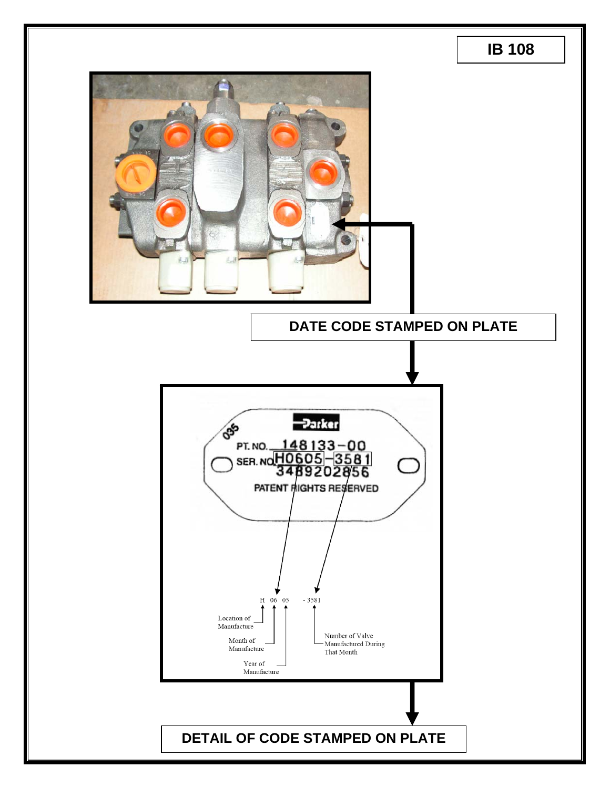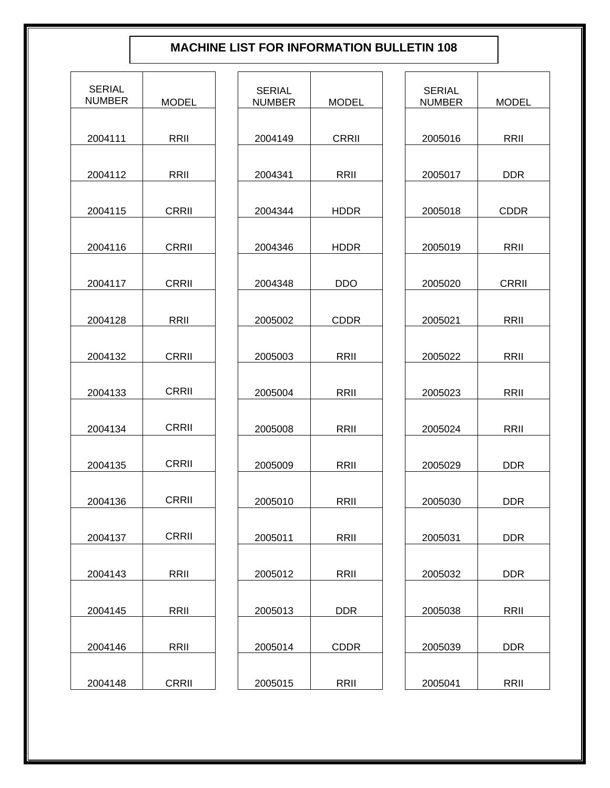## **MACHINE LIST FOR INFORMATION BULLETIN 108**

| <b>SERIAL</b><br><b>NUMBER</b> | MODEL        |
|--------------------------------|--------------|
| 2004111                        | RRII         |
| 2004112                        | RRII         |
| 2004115                        | CRRII        |
| 2004116                        | CRRII        |
| 2004117                        | <b>CRRII</b> |
| 2004128                        | RRII         |
| 2004132                        | CRRII        |
| 2004133                        | <b>CRRII</b> |
| 2004134                        | CRRII        |
| 2004135                        | <b>CRRII</b> |
| 2004136                        | <b>CRRII</b> |
| 2004137                        | <b>CRRII</b> |
| 2004143                        | RRII         |
| 2004145                        | RRII         |
| 2004146                        | RRII         |
| 2004148                        | <b>CRRII</b> |

| SERIAL<br><b>NUMBER</b> | MODEL       |
|-------------------------|-------------|
| 2004149                 | CRRII       |
| 2004341                 | RRII        |
| 2004344                 | HDDR        |
| 2004346                 | HDDR        |
| 2004348                 | DDO         |
| 2005002                 | <b>CDDR</b> |
| 2005003                 | RRII        |
| 2005004                 | RRII        |
| 2005008                 | RRII        |
| 2005009                 | RRII        |
| 2005010                 | RRII        |
| 2005011                 | RRII        |
| 2005012                 | RRII        |
| 2005013                 | DDR         |
| 2005014                 | <b>CDDR</b> |
| 2005015                 | RRII        |

| <b>SERIAL</b><br><b>NUMBER</b> | <b>MODEL</b> |
|--------------------------------|--------------|
| 2005016                        | RRII         |
| 2005017                        | DDR.         |
| 2005018                        | <b>CDDR</b>  |
| 2005019                        | RRII         |
| 2005020                        | <b>CRRII</b> |
| 2005021                        | RRII         |
| 2005022                        | RRII         |
| 2005023                        | RRII         |
| 2005024                        | RRII         |
| 2005029                        | DDR          |
| 2005030                        | DDR          |
| 2005031                        | DDR          |
| 2005032                        | DDR.         |
| 2005038                        | RRII         |
| 2005039                        | DDR          |
| 2005041                        | RRII         |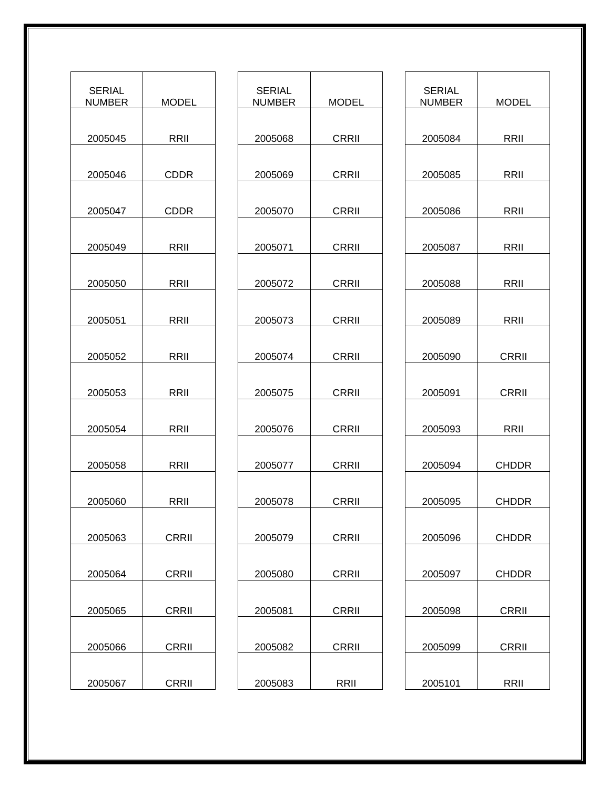| <b>SERIAL</b><br><b>NUMBER</b> | <b>MODEL</b> |
|--------------------------------|--------------|
| 2005045                        | RRII         |
| 2005046                        | CDDR         |
| 2005047                        | <b>CDDR</b>  |
| 2005049                        | RRII         |
| 2005050                        | RRII         |
| 2005051                        | RRII         |
| 2005052                        | RRII         |
| 2005053                        | RRII         |
| 2005054                        | RRII         |
| 2005058                        | RRII         |
| 2005060                        | RRII         |
| 2005063                        | <b>CRRII</b> |
| 2005064                        | CRRII        |
| 2005065                        | CRRII        |
| 2005066                        | CRRII        |
| 2005067                        | CRRII        |

| <b>SERIAL</b><br><b>NUMBER</b> | MODEL        |
|--------------------------------|--------------|
| 2005068                        | CRRII        |
|                                |              |
| 2005069                        | CRRII        |
| 2005070                        | <b>CRRII</b> |
| 2005071                        | <b>CRRII</b> |
|                                |              |
| 2005072                        | CRRII        |
| 2005073                        | CRRII        |
| 2005074                        | <b>CRRII</b> |
|                                |              |
| 2005075                        | <b>CRRII</b> |
| 2005076                        | <b>CRRII</b> |
| 2005077                        | <b>CRRII</b> |
|                                |              |
| 2005078                        | CRRII        |
| 2005079                        | <b>CRRII</b> |
| 2005080                        | <b>CRRII</b> |
|                                |              |
| 2005081                        | CRRII        |
| 2005082                        | CRRII        |
| 2005083                        | RRII         |

| SERIAL<br>NUMBER | MODEL        |
|------------------|--------------|
| 2005084          | RRII         |
| 2005085          | RRII         |
| 2005086          | RRII         |
| 2005087          | RRII         |
| 2005088          | RRII         |
| 2005089          | RRII         |
| 2005090          | <b>CRRII</b> |
| 2005091          | <b>CRRII</b> |
| 2005093          | RRII         |
| 2005094          | <b>CHDDR</b> |
| 2005095          | CHDDR        |
| 2005096          | <b>CHDDR</b> |
| 2005097          | <b>CHDDR</b> |
| 2005098          | CRRII        |
| 2005099          | CRRII        |
| 2005101          | RRII         |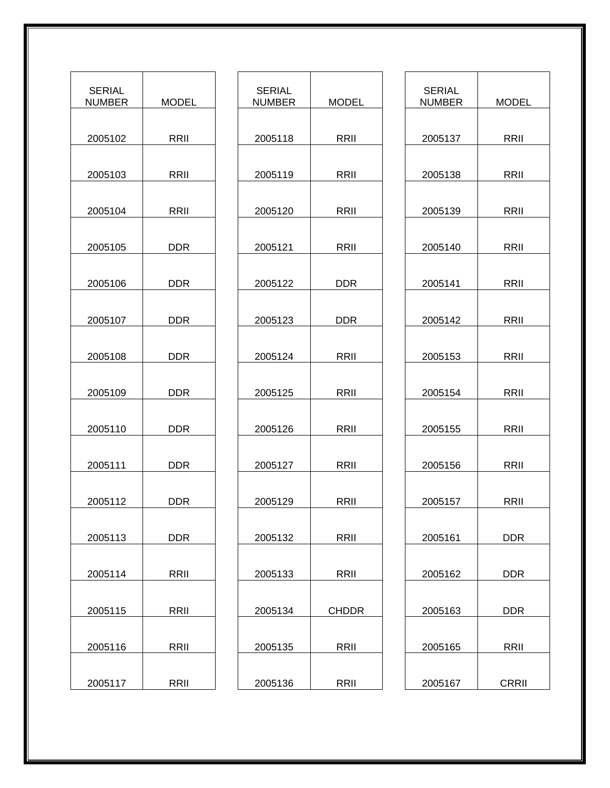| <b>SERIAL</b><br>NUMBER | MODEL      |
|-------------------------|------------|
| 2005102                 | RRII       |
| 2005103                 | RRII       |
| 2005104                 | RRII       |
| 2005105                 | DDR        |
| 2005106                 | DDR.       |
| 2005107                 | DDR        |
| 2005108                 | <b>DDR</b> |
| 2005109                 | DDR.       |
| 2005110                 | <b>DDR</b> |
| 2005111                 | <b>DDR</b> |
| 2005112                 | DDR        |
| 2005113                 | <b>DDR</b> |
| 2005114                 | RRII       |
| 2005115                 | RRII       |
| 2005116                 | RRII       |
| 2005117                 | RRII       |

| <b>SERIAL</b><br>NUMBER | MODEL |
|-------------------------|-------|
| 2005118                 | RRII  |
| 2005119                 | RRII  |
| 2005120                 | RRII  |
| 2005121                 | RRII  |
| 2005122                 | DDR.  |
| 2005123                 | DDR.  |
| 2005124                 | RRII  |
| 2005125                 | RRII  |
| 2005126                 | RRII  |
| 2005127                 | RRII  |
| 2005129                 | RRII  |
| 2005132                 | RRII  |
| 2005133                 | RRII  |
| 2005134                 | CHDDR |
| 2005135                 | RRII  |
| 2005136                 | RRII  |

| <b>SERIAL</b><br><b>NUMBER</b> | MODEL        |
|--------------------------------|--------------|
| 2005137                        | RRII         |
| 2005138                        | RRII         |
|                                |              |
| 2005139                        | RRII         |
| 2005140                        | RRII         |
| 2005141                        | RRII         |
| 2005142                        | RRII         |
| 2005153                        | RRII         |
| 2005154                        | RRII         |
| 2005155                        | RRII         |
| 2005156                        | RRII         |
| 2005157                        | RRII         |
| 2005161                        | DDR          |
| 2005162                        | DDR.         |
| 2005163                        | DDR          |
| 2005165                        | RRII         |
| 2005167                        | <b>CRRII</b> |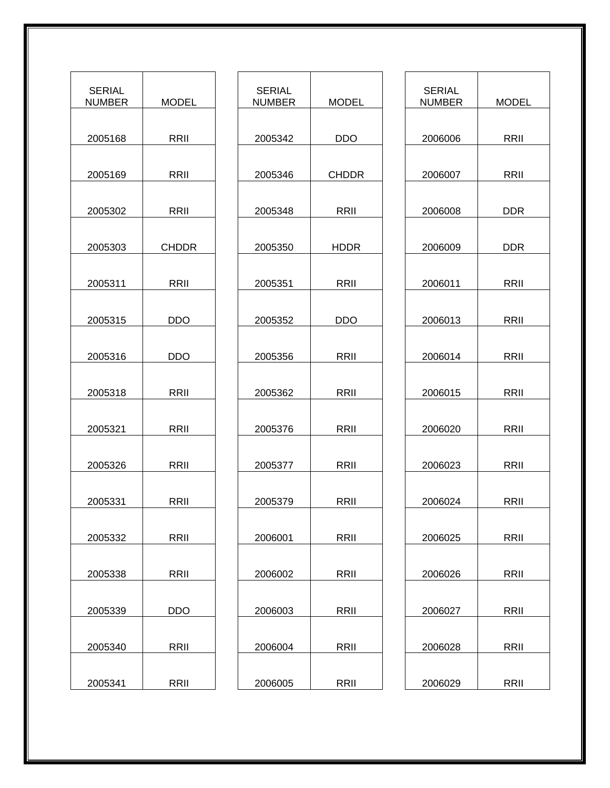| <b>SERIAL</b><br><b>NUMBER</b> | MODEL      |
|--------------------------------|------------|
| 2005168                        | RRII       |
| 2005169                        | RRII       |
| 2005302                        | RRII       |
| 2005303                        | CHDDR      |
| 2005311                        | RRII       |
| 2005315                        | <b>DDO</b> |
| 2005316                        | DDO        |
| 2005318                        | RRII       |
| 2005321                        | RRII       |
| 2005326                        | RRII       |
| 2005331                        | RRII       |
| 2005332                        | RRII       |
| 2005338                        | RRII       |
| 2005339                        | DDO.       |
| 2005340                        | RRII       |
| 2005341                        | RRII       |

| <b>SERIAL</b><br><b>NUMBER</b> | <b>MODEL</b> |
|--------------------------------|--------------|
| 2005342                        | DDO.         |
| 2005346                        | <b>CHDDR</b> |
| 2005348                        | RRII         |
| 2005350                        | <b>HDDR</b>  |
| 2005351                        | RRII         |
| 2005352                        | DDO          |
| 2005356                        | RRII         |
| 2005362                        | RRII         |
| 2005376                        | RRII         |
| 2005377                        | RRII         |
| 2005379                        | <b>RRII</b>  |
| 2006001                        | RRII         |
| 2006002                        | RRII         |
| 2006003                        | RRII         |
| 2006004                        | RRII         |
| 2006005                        | RRII         |

| SERIAL<br><b>NUMBER</b> | <b>MODEL</b> |
|-------------------------|--------------|
| 2006006                 | RRII         |
| 2006007                 | RRII         |
| 2006008                 | DDR.         |
| 2006009                 | DDR.         |
| 2006011                 | RRII         |
| 2006013                 | RRII         |
| 2006014                 | RRII         |
| 2006015                 | RRII         |
| 2006020                 | RRII         |
| 2006023                 | RRII         |
| 2006024                 | RRII         |
| 2006025                 | RRII         |
| 2006026                 | RRII         |
| 2006027                 | RRII         |
| 2006028                 | RRII         |
| 2006029                 | RRII         |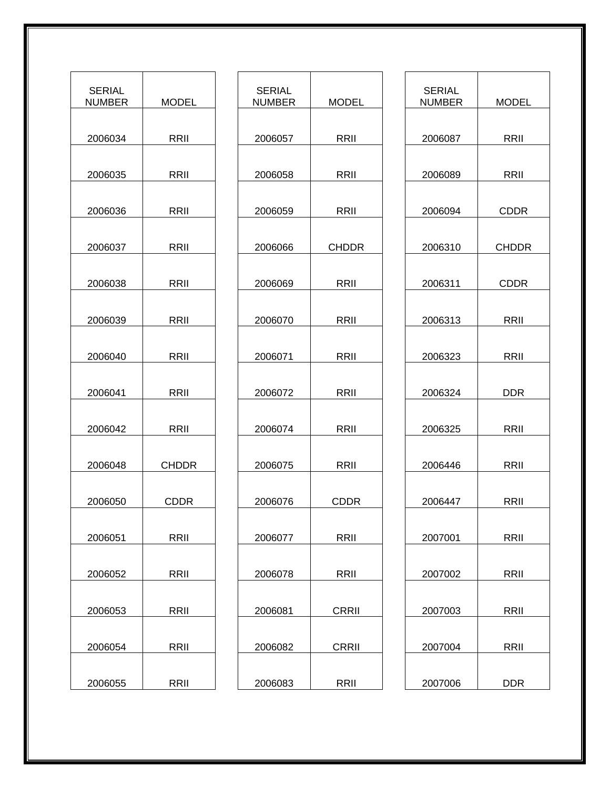| <b>SERIAL</b><br>NUMBER | MODEL |
|-------------------------|-------|
| 2006034                 | RRII  |
| 2006035                 | RRII  |
| 2006036                 | RRII  |
| 2006037                 | RRII  |
| 2006038                 | RRII  |
| 2006039                 | RRII  |
| 2006040                 | RRII  |
| 2006041                 | RRII  |
| 2006042                 | RRII  |
| 2006048                 | CHDDR |
| 2006050                 | CDDR  |
| 2006051                 | RRII  |
| 2006052                 | RRII  |
| 2006053                 | RRII  |
| 2006054                 | RRII  |
| 2006055                 | RRII  |

| <b>SERIAL</b><br><b>NUMBER</b> | MODEL        |
|--------------------------------|--------------|
| 2006057                        | RRII         |
| 2006058                        | RRII         |
| 2006059                        | RRII         |
| 2006066                        | <b>CHDDR</b> |
| 2006069                        | RRII         |
| 2006070                        | RRII         |
| 2006071                        | RRII         |
| 2006072                        | RRII         |
| 2006074                        | RRII         |
| 2006075                        | RRII         |
| 2006076                        | <b>CDDR</b>  |
| 2006077                        | RRII         |
| 2006078                        | RRII         |
| 2006081                        | <b>CRRII</b> |
| 2006082                        | CRRII        |
| 2006083                        | RRII         |

| <b>SERIAL</b><br><b>NUMBER</b> | MODEL        |
|--------------------------------|--------------|
| 2006087                        | RRII         |
|                                |              |
| 2006089                        | RRII         |
| 2006094                        | CDDR         |
| 2006310                        | <b>CHDDR</b> |
| 2006311                        | <b>CDDR</b>  |
| 2006313                        | RRII         |
| 2006323                        | RRII         |
| 2006324                        | DDR          |
|                                |              |
| 2006325                        | RRII         |
| 2006446                        | RRII         |
| 2006447                        | RRII         |
| 2007001                        | RRII         |
|                                |              |
| 2007002                        | RRII         |
| 2007003                        | RRII         |
| 2007004                        | RRII         |
| 2007006                        | DDR          |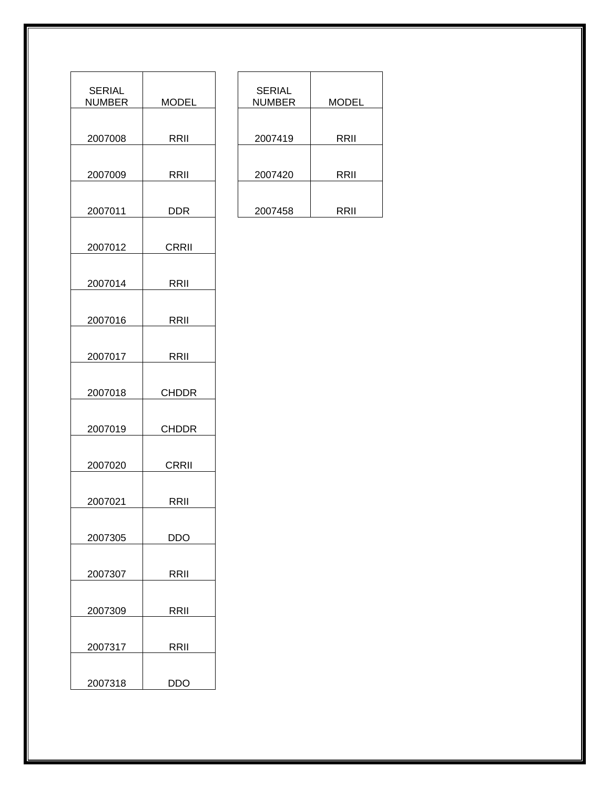| <b>SERIAL</b><br>NUMBER | MODEL        |
|-------------------------|--------------|
| 2007008                 | RRII         |
| 2007009                 | RRII         |
| 2007011                 | DDR .        |
| 2007012                 | CRRII        |
| 2007014                 | RRII         |
| 2007016                 | RRII         |
| 2007017                 | RRII         |
| 2007018                 | <b>CHDDR</b> |
| 2007019                 | CHDDR        |
| 2007020                 | CRRII        |
| 2007021                 | RRII         |
| 2007305                 | DDO .        |
| 2007307                 | RRII         |
| 2007309                 | RRII         |
| 2007317                 | RRII         |
| 2007318                 | <b>DDO</b>   |

| <b>SERIAL</b><br><b>NUMBER</b> | MODEL |
|--------------------------------|-------|
| 2007419                        | RRII  |
| 2007420                        | RRII  |
| 2007458                        | RRII  |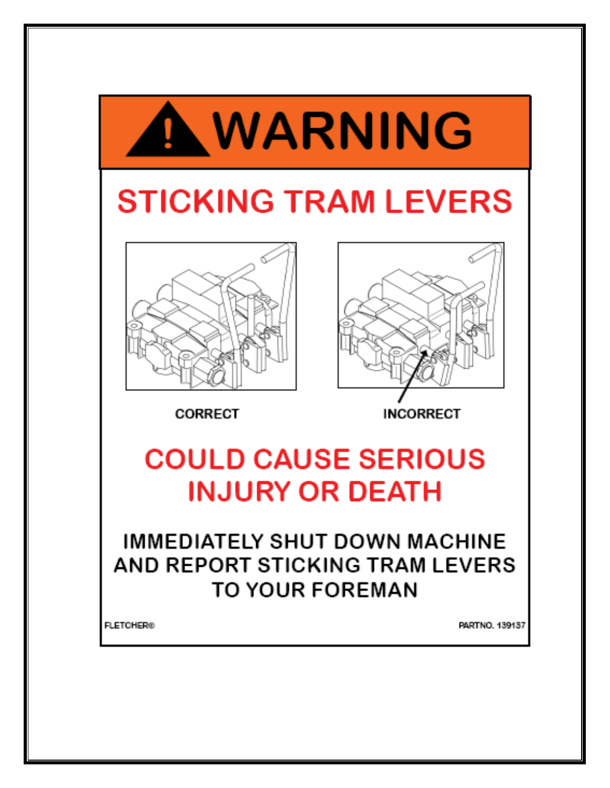